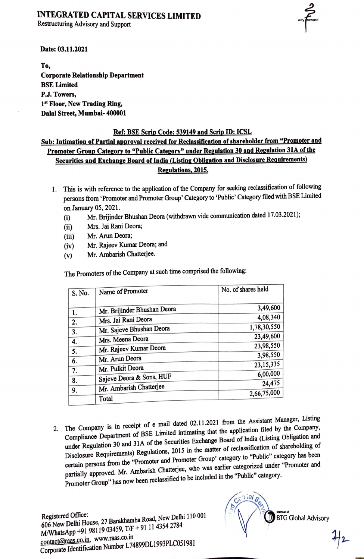### **INTEGRATED CAPITAL SERVICES LIMITED**

**Restructuring Advisory and Support** 

way Forward

Date: 03.11.2021

To, **Corporate Relationship Department BSE Limited** P.J. Towers, 1st Floor, New Trading Ring, Dalal Street, Mumbai- 400001

#### Ref: BSE Scrip Code: 539149 and Scrip ID: ICSL

Sub: Intimation of Partial approval received for Reclassification of shareholder from "Promoter and Promoter Group Category to "Public Category" under Regulation 30 and Regulation 31A of the Securities and Exchange Board of India (Listing Obligation and Disclosure Requirements) Regulations, 2015.

- 1. This is with reference to the application of the Company for seeking reclassification of following persons from 'Promoter and Promoter Group' Category to 'Public' Category filed with BSE Limited on January 05, 2021.
	- Mr. Brijinder Bhushan Deora (withdrawn vide communication dated 17.03.2021);  $(i)$
	- Mrs. Jai Rani Deora:  $(ii)$
	- Mr. Arun Deora;  $(iii)$
	- Mr. Rajeev Kumar Deora; and  $(iv)$
	- Mr. Ambarish Chatterjee.  $(v)$

The Promoters of the Company at such time comprised the following:

| S. No.   | Name of Promoter            | No. of shares held      |  |
|----------|-----------------------------|-------------------------|--|
|          | Mr. Brijinder Bhushan Deora | 3,49,600                |  |
| 1.<br>2. | Mrs. Jai Rani Deora         | 4,08,340                |  |
| 3.       | Mr. Sajeve Bhushan Deora    | 1,78,30,550             |  |
| 4.       | Mrs. Meena Deora            | 23,49,600               |  |
| 5.       | Mr. Rajeev Kumar Deora      | 23,98,550               |  |
| 6.       | Mr. Arun Deora              | 3,98,550<br>23, 15, 335 |  |
| 7.       | Mr. Pulkit Deora            | 6,00,000                |  |
| 8.       | Sajeve Deora & Sons, HUF    | 24,475                  |  |
| 9.       | Mr. Ambarish Chatterjee     | 2,66,75,000             |  |
|          | Total                       |                         |  |

2. The Company is in receipt of e mail dated 02.11.2021 from the Assistant Manager, Listing Compliance Department of BSE Limited intimating that the application filed by the Company, under Regulation 30 and 31A of the Securities Exchange Board of India (Listing Obligation and Disclosure Requirements) Regulations, 2015 in the matter of reclassification of shareholding of certain persons from the "Promoter and Promoter Group' category to "Public" category has been partially approved. Mr. Ambarish Chatterjee, who was earlier categorized under "Promoter and Promoter Group" has now been reclassified to be included in the "Public" category.

606 New Delhi House, 27 Barakhamba Road, New Delhi 110 001 M/WhatsApp +91 98119 03459, T/F + 91 11 4354 2784 contact@raas.co.in, www.raas.co.in Corporate Identification Number L74899DL1993PLC051981

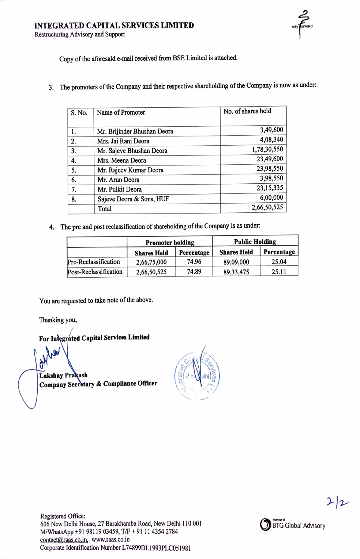Restructuring Advisory and Support

Copy of the aforesaid e-mail received from BSE Limited is attached.

3. The promoters of the Company and their respective shareholding of the Company is now as under:

| S. No. | Name of Promoter            | No. of shares held |
|--------|-----------------------------|--------------------|
|        |                             |                    |
| 1.     | Mr. Brijinder Bhushan Deora | 3,49,600           |
| 2.     | Mrs. Jai Rani Deora         | 4,08,340           |
| 3.     | Mr. Sajeve Bhushan Deora    | 1,78,30,550        |
| 4.     | Mrs. Meena Deora            | 23,49,600          |
| 5.     | Mr. Rajeev Kumar Deora      | 23,98,550          |
| 6.     | Mr. Arun Deora              | 3,98,550           |
| 7.     | Mr. Pulkit Deora            | 23, 15, 335        |
| 8.     | Sajeve Deora & Sons, HUF    | 6,00,000           |
|        | Total                       | 2,66,50,525        |

4. The pre and post reclassification of shareholding of the Company is as under:

|                       | <b>Promoter holding</b> |            | <b>Public Holding</b> |            |
|-----------------------|-------------------------|------------|-----------------------|------------|
|                       | <b>Shares Held</b>      | Percentage | <b>Shares Held</b>    | Percentage |
| Pre-Reclassification  | 2,66,75,000             | 74.96      | 89,09,000             | 25.04      |
| Post-Reclassification | 2,66,50,525             | 74.89      | 89, 33, 475           | 25.11      |

You are requested to take note of the above.

Thanking you,

For Integrated Capital Services Limited

**Lakshay Prakash** Company Secretary & Compliance Officer



 $2/2$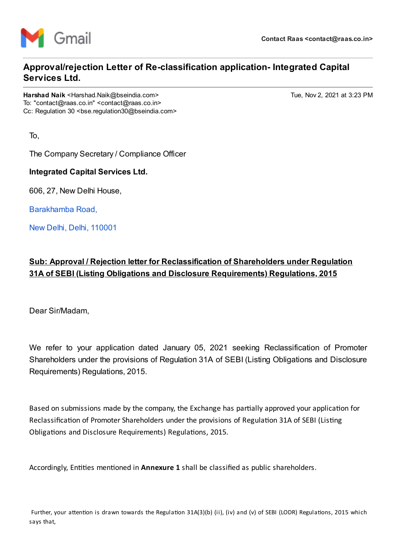

# **Approval/rejection Letter of Re-classification application- Integrated Capital Services Ltd.**

Harshad Naik <Harshad.Naik@bseindia.com> Tue, Nov 2, 2021 at 3:23 PM To: "contact@raas.co.in" <contact@raas.co.in> Cc: Regulation 30 <br />bse.regulation30@bseindia.com>

To,

The Company Secretary / Compliance Officer

**Integrated Capital Services Ltd.**

606, 27, New Delhi House,

[Barakhamba](https://www.google.com/maps/search/Barakhamba+Road,+%0D%0A+New+Delhi,+Delhi,+110001?entry=gmail&source=g) Road,

New Delhi, Delhi, [110001](https://www.google.com/maps/search/Barakhamba+Road,+%0D%0A+New+Delhi,+Delhi,+110001?entry=gmail&source=g)

## **Sub: Approval / Rejection letter for Reclassification of Shareholders under Regulation 31A of SEBI (Listing Obligations and Disclosure Requirements) Regulations, 2015**

Dear Sir/Madam,

We refer to your application dated January 05, 2021 seeking Reclassification of Promoter Shareholders under the provisions of Regulation 31A of SEBI (Listing Obligations and Disclosure Requirements) Regulations, 2015.

Based on submissions made by the company, the Exchange has partially approved your application for Reclassification of Promoter Shareholders under the provisions of Regulation 31A of SEBI (Listing Obligations and Disclosure Requirements) Regulations, 2015.

Accordingly, Entities mentioned in **Annexure 1** shall be classified as public shareholders.

Further, your attention is drawn towards the Regulation 31A(3)(b) (ii), (iv) and (v) of SEBI (LODR) Regulations, 2015 which says that,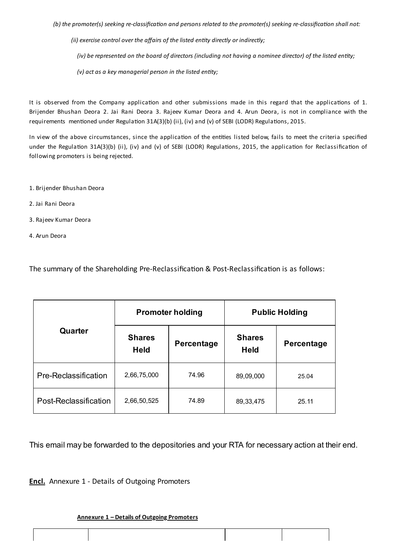(b) the promoter(s) seeking re-classification and persons related to the promoter(s) seeking re-classification shall not:

*(ii) exercise control over the affairs of the listed entity directly or indirectly;*

(iv) be represented on the board of directors (including not having a nominee director) of the listed entity;

*(v) act as a key managerial person in the listed entity;*

It is observed from the Company application and other submissions made in this regard that the applications of 1. Brijender Bhushan Deora 2. Jai Rani Deora 3. Rajeev Kumar Deora and 4. Arun Deora, is not in compliance with the requirements mentioned under Regulation 31A(3)(b) (ii), (iv) and (v) of SEBI (LODR) Regulations, 2015.

In view of the above circumstances, since the application of the entities listed below, fails to meet the criteria specified under the Regulation 31A(3)(b) (ii), (iv) and (v) of SEBI (LODR) Regulations, 2015, the application for Reclassification of following promoters is being rejected.

- 1. Brijender Bhushan Deora
- 2. Jai Rani Deora
- 3. Rajeev Kumar Deora
- 4. Arun Deora

The summary of the Shareholding Pre-Reclassification & Post-Reclassification is as follows:

|                       | <b>Promoter holding</b>      |            | <b>Public Holding</b>        |            |
|-----------------------|------------------------------|------------|------------------------------|------------|
| Quarter               | <b>Shares</b><br><b>Held</b> | Percentage | <b>Shares</b><br><b>Held</b> | Percentage |
| Pre-Reclassification  | 2,66,75,000                  | 74.96      | 89,09,000                    | 25.04      |
| Post-Reclassification | 2,66,50,525                  | 74.89      | 89, 33, 475                  | 25.11      |

This email may be forwarded to the depositories and your RTA for necessary action at their end.

**Encl.** Annexure 1 - Details of Outgoing Promoters

#### **Annexure 1 – Details of Outgoing Promoters**